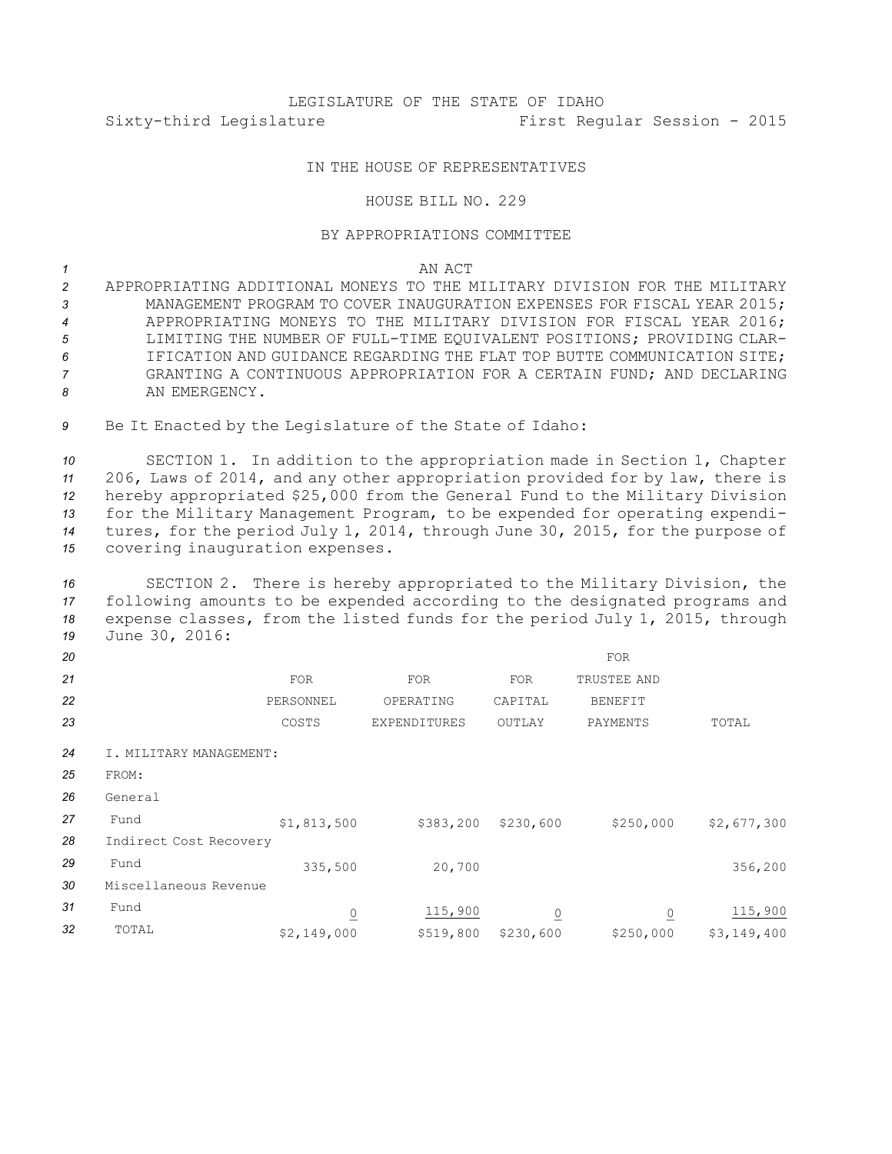# LEGISLATURE OF THE STATE OF IDAHO Sixty-third Legislature First Regular Session - 2015

## IN THE HOUSE OF REPRESENTATIVES

## HOUSE BILL NO. 229

### BY APPROPRIATIONS COMMITTEE

### *1* AN ACT

- *2* APPROPRIATING ADDITIONAL MONEYS TO THE MILITARY DIVISION FOR THE MILITARY *3* MANAGEMENT PROGRAM TO COVER INAUGURATION EXPENSES FOR FISCAL YEAR 2015; *4* APPROPRIATING MONEYS TO THE MILITARY DIVISION FOR FISCAL YEAR 2016; *5* LIMITING THE NUMBER OF FULL-TIME EQUIVALENT POSITIONS; PROVIDING CLAR-*6* IFICATION AND GUIDANCE REGARDING THE FLAT TOP BUTTE COMMUNICATION SITE; *7* GRANTING A CONTINUOUS APPROPRIATION FOR A CERTAIN FUND; AND DECLARING *8* AN EMERGENCY.
- 9 Be It Enacted by the Legislature of the State of Idaho:

 SECTION 1. In addition to the appropriation made in Section 1, Chapter 206, Laws of 2014, and any other appropriation provided for by law, there is hereby appropriated \$25,000 from the General Fund to the Military Division for the Military Management Program, to be expended for operating expendi- tures, for the period July 1, 2014, through June 30, 2015, for the purpose of covering inauguration expenses.

 SECTION 2. There is hereby appropriated to the Military Division, the following amounts to be expended according to the designated programs and expense classes, from the listed funds for the period July 1, 2015, through June 30, 2016:

| 20 |                         |                |                     |                | FOR            |             |  |  |  |
|----|-------------------------|----------------|---------------------|----------------|----------------|-------------|--|--|--|
| 21 |                         | <b>FOR</b>     | <b>FOR</b>          | <b>FOR</b>     | TRUSTEE AND    |             |  |  |  |
| 22 |                         | PERSONNEL      | OPERATING           | CAPITAL        | <b>BENEFIT</b> |             |  |  |  |
| 23 |                         | COSTS          | <b>EXPENDITURES</b> | OUTLAY         | PAYMENTS       | TOTAL       |  |  |  |
| 24 | I. MILITARY MANAGEMENT: |                |                     |                |                |             |  |  |  |
| 25 | FROM:                   |                |                     |                |                |             |  |  |  |
| 26 | General                 |                |                     |                |                |             |  |  |  |
| 27 | Fund                    | \$1,813,500    | \$383,200           | \$230,600      | \$250,000      | \$2,677,300 |  |  |  |
| 28 | Indirect Cost Recovery  |                |                     |                |                |             |  |  |  |
| 29 | Fund                    | 335,500        | 20,700              |                |                | 356,200     |  |  |  |
| 30 | Miscellaneous Revenue   |                |                     |                |                |             |  |  |  |
| 31 | Fund                    | $\overline{0}$ | 115,900             | $\overline{0}$ | $\overline{0}$ | 115,900     |  |  |  |
| 32 | TOTAL                   | \$2,149,000    | \$519,800           | \$230,600      | \$250,000      | \$3,149,400 |  |  |  |
|    |                         |                |                     |                |                |             |  |  |  |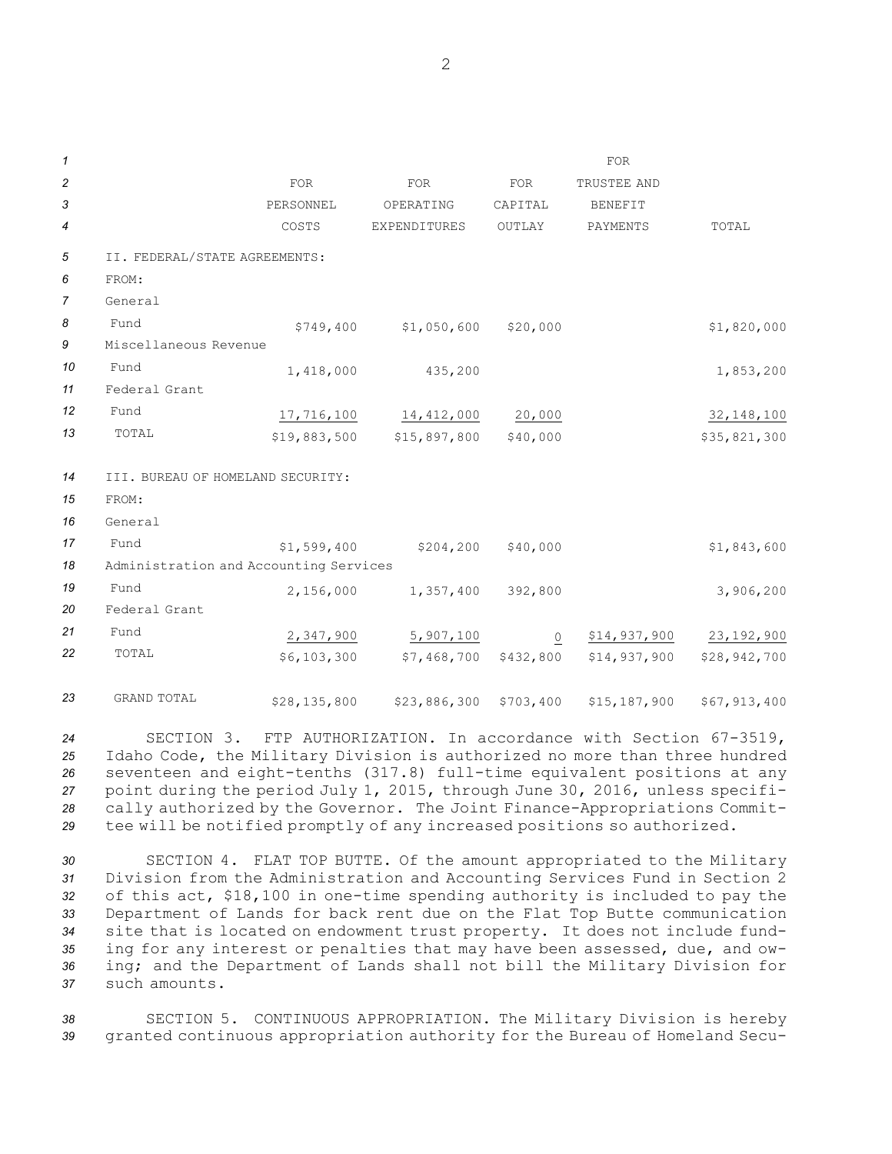| $\mathcal I$   |                                        |             |                             |                | <b>FOR</b>     |              |  |  |  |
|----------------|----------------------------------------|-------------|-----------------------------|----------------|----------------|--------------|--|--|--|
| $\overline{c}$ |                                        | <b>FOR</b>  | <b>FOR</b>                  | <b>FOR</b>     | TRUSTEE AND    |              |  |  |  |
| 3              |                                        | PERSONNEL   | OPERATING                   | CAPITAL        | <b>BENEFIT</b> |              |  |  |  |
| 4              |                                        | COSTS       | <b>EXPENDITURES</b>         | OUTLAY         | PAYMENTS       | TOTAL        |  |  |  |
| 5              | II. FEDERAL/STATE AGREEMENTS:          |             |                             |                |                |              |  |  |  |
| 6              | FROM:                                  |             |                             |                |                |              |  |  |  |
| $\overline{7}$ | General                                |             |                             |                |                |              |  |  |  |
| 8              | Fund                                   | \$749,400   | \$1,050,600                 | \$20,000       |                | \$1,820,000  |  |  |  |
| 9              | Miscellaneous Revenue                  |             |                             |                |                |              |  |  |  |
| 10             | Fund                                   | 1,418,000   | 435,200                     |                |                | 1,853,200    |  |  |  |
| 11             | Federal Grant                          |             |                             |                |                |              |  |  |  |
| 12             | Fund                                   |             | 17,716,100 14,412,000       | 20,000         |                | 32, 148, 100 |  |  |  |
| 13             | TOTAL                                  |             | $$19,883,500$ $$15,897,800$ | \$40,000       |                | \$35,821,300 |  |  |  |
| 14             | III. BUREAU OF HOMELAND SECURITY:      |             |                             |                |                |              |  |  |  |
| 15             | FROM:                                  |             |                             |                |                |              |  |  |  |
| 16             | General                                |             |                             |                |                |              |  |  |  |
| 17             | Fund                                   | \$1,599,400 | \$204, 200                  | \$40,000       |                | \$1,843,600  |  |  |  |
| 18             | Administration and Accounting Services |             |                             |                |                |              |  |  |  |
| 19             | Fund                                   | 2,156,000   | 1,357,400                   | 392,800        |                | 3,906,200    |  |  |  |
| 20             | Federal Grant                          |             |                             |                |                |              |  |  |  |
| 21             | Fund                                   | 2,347,900   | 5,907,100                   | $\overline{0}$ | \$14,937,900   | 23,192,900   |  |  |  |
| 22             | TOTAL                                  | \$6,103,300 | \$7,468,700 \$432,800       |                | \$14,937,900   | \$28,942,700 |  |  |  |
|                |                                        |             |                             |                |                |              |  |  |  |

*<sup>23</sup>* GRAND TOTAL \$28,135,800 \$23,886,300 \$703,400 \$15,187,900 \$67,913,400

 SECTION 3. FTP AUTHORIZATION. In accordance with Section 67-3519, Idaho Code, the Military Division is authorized no more than three hundred seventeen and eight-tenths (317.8) full-time equivalent positions at any point during the period July 1, 2015, through June 30, 2016, unless specifi- cally authorized by the Governor. The Joint Finance-Appropriations Commit-tee will be notified promptly of any increased positions so authorized.

 SECTION 4. FLAT TOP BUTTE. Of the amount appropriated to the Military Division from the Administration and Accounting Services Fund in Section 2 of this act, \$18,100 in one-time spending authority is included to pay the Department of Lands for back rent due on the Flat Top Butte communication site that is located on endowment trust property. It does not include fund- ing for any interest or penalties that may have been assessed, due, and ow- ing; and the Department of Lands shall not bill the Military Division for such amounts.

*<sup>38</sup>* SECTION 5. CONTINUOUS APPROPRIATION. The Military Division is hereby *<sup>39</sup>* granted continuous appropriation authority for the Bureau of Homeland Secu-

2